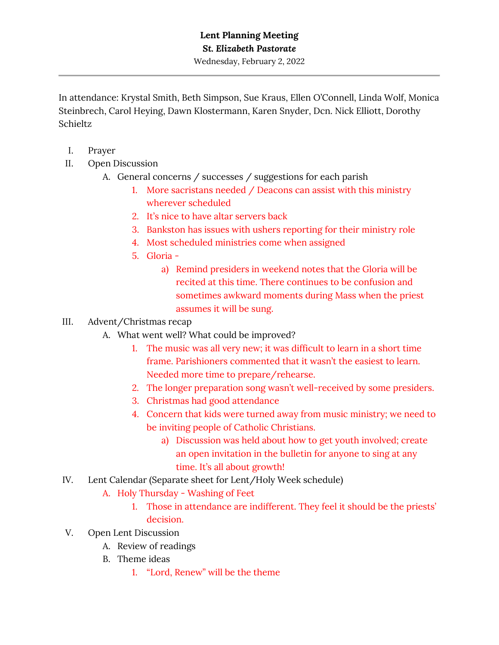Wednesday, February 2, 2022

In attendance: Krystal Smith, Beth Simpson, Sue Kraus, Ellen O'Connell, Linda Wolf, Monica Steinbrech, Carol Heying, Dawn Klostermann, Karen Snyder, Dcn. Nick Elliott, Dorothy Schieltz

- I. Prayer
- II. Open Discussion
	- A. General concerns / successes / suggestions for each parish
		- 1. More sacristans needed / Deacons can assist with this ministry wherever scheduled
		- 2. It's nice to have altar servers back
		- 3. Bankston has issues with ushers reporting for their ministry role
		- 4. Most scheduled ministries come when assigned
		- 5. Gloria
			- a) Remind presiders in weekend notes that the Gloria will be recited at this time. There continues to be confusion and sometimes awkward moments during Mass when the priest assumes it will be sung.
- III. Advent/Christmas recap
	- A. What went well? What could be improved?
		- 1. The music was all very new; it was difficult to learn in a short time frame. Parishioners commented that it wasn't the easiest to learn. Needed more time to prepare/rehearse.
		- 2. The longer preparation song wasn't well-received by some presiders.
		- 3. Christmas had good attendance
		- 4. Concern that kids were turned away from music ministry; we need to be inviting people of Catholic Christians.
			- a) Discussion was held about how to get youth involved; create an open invitation in the bulletin for anyone to sing at any time. It's all about growth!
- IV. Lent Calendar (Separate sheet for Lent/Holy Week schedule)
	- A. Holy Thursday Washing of Feet
		- 1. Those in attendance are indifferent. They feel it should be the priests' decision.
- V. Open Lent Discussion
	- A. Review of readings
	- B. Theme ideas
		- 1. "Lord, Renew" will be the theme